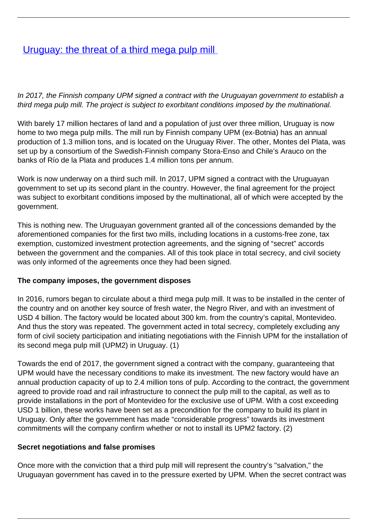## **[Uruguay: the threat of a third mega pulp mill](/bulletin-articles/uruguay-the-threat-of-a-third-mega-pulp-mill)**

In 2017, the Finnish company UPM signed a contract with the Uruguayan government to establish a third mega pulp mill. The project is subject to exorbitant conditions imposed by the multinational.

With barely 17 million hectares of land and a population of just over three million, Uruguay is now home to two mega pulp mills. The mill run by Finnish company UPM (ex-Botnia) has an annual production of 1.3 million tons, and is located on the Uruguay River. The other, Montes del Plata, was set up by a consortium of the Swedish-Finnish company Stora-Enso and Chile's Arauco on the banks of Río de la Plata and produces 1.4 million tons per annum.

Work is now underway on a third such mill. In 2017, UPM signed a contract with the Uruguayan government to set up its second plant in the country. However, the final agreement for the project was subject to exorbitant conditions imposed by the multinational, all of which were accepted by the government.

This is nothing new. The Uruguayan government granted all of the concessions demanded by the aforementioned companies for the first two mills, including locations in a customs-free zone, tax exemption, customized investment protection agreements, and the signing of "secret" accords between the government and the companies. All of this took place in total secrecy, and civil society was only informed of the agreements once they had been signed.

## **The company imposes, the government disposes**

In 2016, rumors began to circulate about a third mega pulp mill. It was to be installed in the center of the country and on another key source of fresh water, the Negro River, and with an investment of USD 4 billion. The factory would be located about 300 km. from the country's capital, Montevideo. And thus the story was repeated. The government acted in total secrecy, completely excluding any form of civil society participation and initiating negotiations with the Finnish UPM for the installation of its second mega pulp mill (UPM2) in Uruguay. (1)

Towards the end of 2017, the government signed a contract with the company, guaranteeing that UPM would have the necessary conditions to make its investment. The new factory would have an annual production capacity of up to 2.4 million tons of pulp. According to the contract, the government agreed to provide road and rail infrastructure to connect the pulp mill to the capital, as well as to provide installations in the port of Montevideo for the exclusive use of UPM. With a cost exceeding USD 1 billion, these works have been set as a precondition for the company to build its plant in Uruguay. Only after the government has made "considerable progress" towards its investment commitments will the company confirm whether or not to install its UPM2 factory. (2)

## **Secret negotiations and false promises**

Once more with the conviction that a third pulp mill will represent the country's "salvation," the Uruguayan government has caved in to the pressure exerted by UPM. When the secret contract was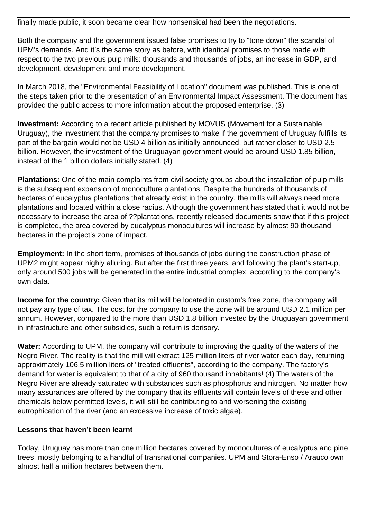finally made public, it soon became clear how nonsensical had been the negotiations.

Both the company and the government issued false promises to try to "tone down" the scandal of UPM's demands. And it's the same story as before, with identical promises to those made with respect to the two previous pulp mills: thousands and thousands of jobs, an increase in GDP, and development, development and more development.

In March 2018, the "Environmental Feasibility of Location" document was published. This is one of the steps taken prior to the presentation of an Environmental Impact Assessment. The document has provided the public access to more information about the proposed enterprise. (3)

**Investment:** According to a recent article published by MOVUS (Movement for a Sustainable Uruguay), the investment that the company promises to make if the government of Uruguay fulfills its part of the bargain would not be USD 4 billion as initially announced, but rather closer to USD 2.5 billion. However, the investment of the Uruguayan government would be around USD 1.85 billion, instead of the 1 billion dollars initially stated. (4)

**Plantations:** One of the main complaints from civil society groups about the installation of pulp mills is the subsequent expansion of monoculture plantations. Despite the hundreds of thousands of hectares of eucalyptus plantations that already exist in the country, the mills will always need more plantations and located within a close radius. Although the government has stated that it would not be necessary to increase the area of ??plantations, recently released documents show that if this project is completed, the area covered by eucalyptus monocultures will increase by almost 90 thousand hectares in the project's zone of impact.

**Employment:** In the short term, promises of thousands of jobs during the construction phase of UPM2 might appear highly alluring. But after the first three years, and following the plant's start-up, only around 500 jobs will be generated in the entire industrial complex, according to the company's own data.

**Income for the country:** Given that its mill will be located in custom's free zone, the company will not pay any type of tax. The cost for the company to use the zone will be around USD 2.1 million per annum. However, compared to the more than USD 1.8 billion invested by the Uruguayan government in infrastructure and other subsidies, such a return is derisory.

**Water:** According to UPM, the company will contribute to improving the quality of the waters of the Negro River. The reality is that the mill will extract 125 million liters of river water each day, returning approximately 106.5 million liters of "treated effluents", according to the company. The factory's demand for water is equivalent to that of a city of 960 thousand inhabitants! (4) The waters of the Negro River are already saturated with substances such as phosphorus and nitrogen. No matter how many assurances are offered by the company that its effluents will contain levels of these and other chemicals below permitted levels, it will still be contributing to and worsening the existing eutrophication of the river (and an excessive increase of toxic algae).

## **Lessons that haven't been learnt**

Today, Uruguay has more than one million hectares covered by monocultures of eucalyptus and pine trees, mostly belonging to a handful of transnational companies. UPM and Stora-Enso / Arauco own almost half a million hectares between them.